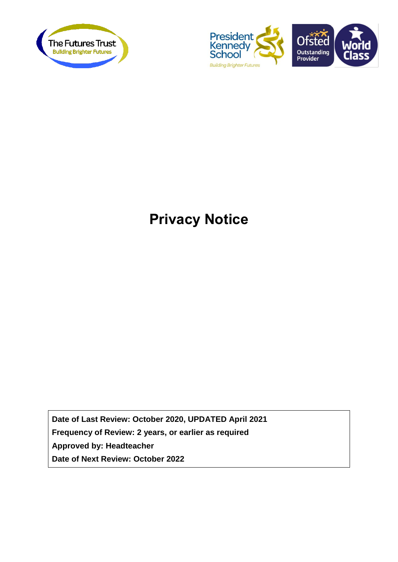



# **Privacy Notice**

**Date of Last Review: October 2020, UPDATED April 2021 Frequency of Review: 2 years, or earlier as required Approved by: Headteacher Date of Next Review: October 2022**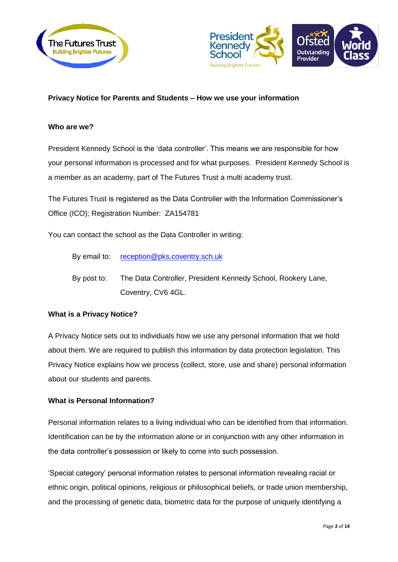



# **Privacy Notice for Parents and Students – How we use your information**

#### **Who are we?**

President Kennedy School is the 'data controller'. This means we are responsible for how your personal information is processed and for what purposes. President Kennedy School is a member as an academy, part of The Futures Trust a multi academy trust.

The Futures Trust is registered as the Data Controller with the Information Commissioner's Office (ICO); Registration Number: ZA154781

You can contact the school as the Data Controller in writing:

- By email to: [reception@pks.coventry.sch.uk](mailto:reception@pks.coventry.sch.uk)
- By post to: The Data Controller, President Kennedy School, Rookery Lane, Coventry, CV6 4GL.

#### **What is a Privacy Notice?**

A Privacy Notice sets out to individuals how we use any personal information that we hold about them. We are required to publish this information by data protection legislation. This Privacy Notice explains how we process (collect, store, use and share) personal information about our students and parents.

#### **What is Personal Information?**

Personal information relates to a living individual who can be identified from that information. Identification can be by the information alone or in conjunction with any other information in the data controller's possession or likely to come into such possession.

'Special category' personal information relates to personal information revealing racial or ethnic origin, political opinions, religious or philosophical beliefs, or trade union membership, and the processing of genetic data, biometric data for the purpose of uniquely identifying a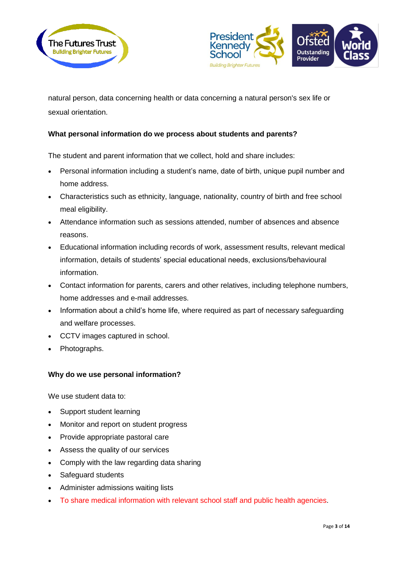



natural person, data concerning health or data concerning a natural person's sex life or sexual orientation.

# **What personal information do we process about students and parents?**

The student and parent information that we collect, hold and share includes:

- Personal information including a student's name, date of birth, unique pupil number and home address.
- Characteristics such as ethnicity, language, nationality, country of birth and free school meal eligibility.
- Attendance information such as sessions attended, number of absences and absence reasons.
- Educational information including records of work, assessment results, relevant medical information, details of students' special educational needs, exclusions/behavioural information.
- Contact information for parents, carers and other relatives, including telephone numbers, home addresses and e-mail addresses.
- Information about a child's home life, where required as part of necessary safequarding and welfare processes.
- CCTV images captured in school.
- Photographs.

## **Why do we use personal information?**

We use student data to:

- Support student learning
- Monitor and report on student progress
- Provide appropriate pastoral care
- Assess the quality of our services
- Comply with the law regarding data sharing
- Safeguard students
- Administer admissions waiting lists
- To share medical information with relevant school staff and public health agencies.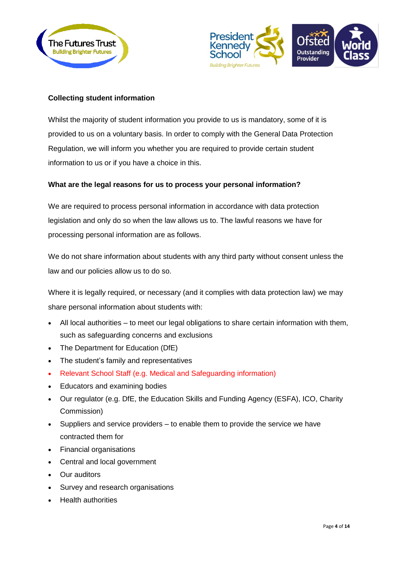



# **Collecting student information**

Whilst the majority of student information you provide to us is mandatory, some of it is provided to us on a voluntary basis. In order to comply with the General Data Protection Regulation, we will inform you whether you are required to provide certain student information to us or if you have a choice in this.

# **What are the legal reasons for us to process your personal information?**

We are required to process personal information in accordance with data protection legislation and only do so when the law allows us to. The lawful reasons we have for processing personal information are as follows.

We do not share information about students with any third party without consent unless the law and our policies allow us to do so.

Where it is legally required, or necessary (and it complies with data protection law) we may share personal information about students with:

- All local authorities to meet our legal obligations to share certain information with them, such as safeguarding concerns and exclusions
- The Department for Education (DfE)
- The student's family and representatives
- Relevant School Staff (e.g. Medical and Safeguarding information)
- Educators and examining bodies
- Our regulator (e.g. DfE, the Education Skills and Funding Agency (ESFA), ICO, Charity Commission)
- Suppliers and service providers to enable them to provide the service we have contracted them for
- Financial organisations
- Central and local government
- Our auditors
- Survey and research organisations
- Health authorities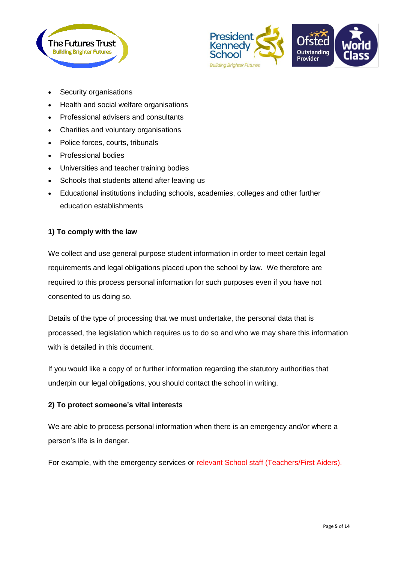



- Security organisations
- Health and social welfare organisations
- Professional advisers and consultants
- Charities and voluntary organisations
- Police forces, courts, tribunals
- Professional bodies
- Universities and teacher training bodies
- Schools that students attend after leaving us
- Educational institutions including schools, academies, colleges and other further education establishments

#### **1) To comply with the law**

We collect and use general purpose student information in order to meet certain legal requirements and legal obligations placed upon the school by law. We therefore are required to this process personal information for such purposes even if you have not consented to us doing so.

Details of the type of processing that we must undertake, the personal data that is processed, the legislation which requires us to do so and who we may share this information with is detailed in this document.

If you would like a copy of or further information regarding the statutory authorities that underpin our legal obligations, you should contact the school in writing.

#### **2) To protect someone's vital interests**

We are able to process personal information when there is an emergency and/or where a person's life is in danger.

For example, with the emergency services or relevant School staff (Teachers/First Aiders).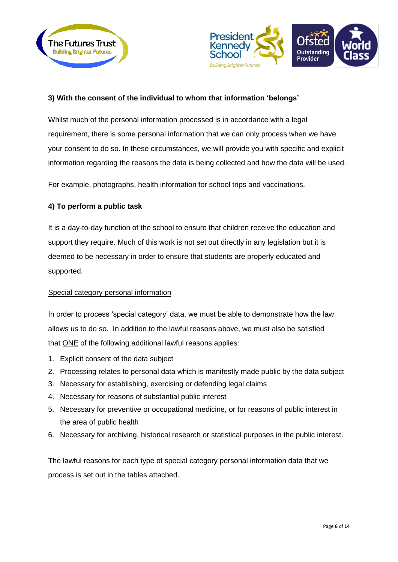



# **3) With the consent of the individual to whom that information 'belongs'**

Whilst much of the personal information processed is in accordance with a legal requirement, there is some personal information that we can only process when we have your consent to do so. In these circumstances, we will provide you with specific and explicit information regarding the reasons the data is being collected and how the data will be used.

For example, photographs, health information for school trips and vaccinations.

#### **4) To perform a public task**

It is a day-to-day function of the school to ensure that children receive the education and support they require. Much of this work is not set out directly in any legislation but it is deemed to be necessary in order to ensure that students are properly educated and supported.

#### Special category personal information

In order to process 'special category' data, we must be able to demonstrate how the law allows us to do so. In addition to the lawful reasons above, we must also be satisfied that ONE of the following additional lawful reasons applies:

- 1. Explicit consent of the data subject
- 2. Processing relates to personal data which is manifestly made public by the data subject
- 3. Necessary for establishing, exercising or defending legal claims
- 4. Necessary for reasons of substantial public interest
- 5. Necessary for preventive or occupational medicine, or for reasons of public interest in the area of public health
- 6. Necessary for archiving, historical research or statistical purposes in the public interest.

The lawful reasons for each type of special category personal information data that we process is set out in the tables attached.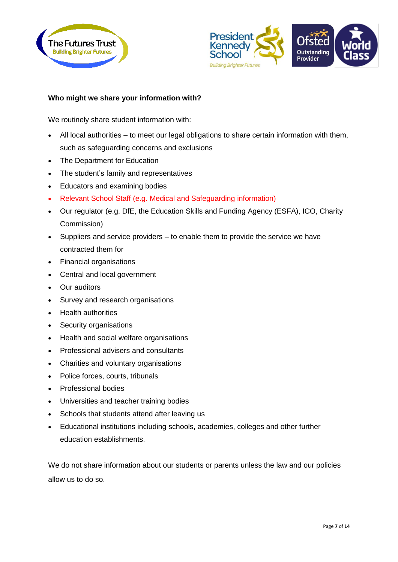



# **Who might we share your information with?**

We routinely share student information with:

- All local authorities to meet our legal obligations to share certain information with them, such as safeguarding concerns and exclusions
- The Department for Education
- The student's family and representatives
- Educators and examining bodies
- Relevant School Staff (e.g. Medical and Safeguarding information)
- Our regulator (e.g. DfE, the Education Skills and Funding Agency (ESFA), ICO, Charity Commission)
- Suppliers and service providers to enable them to provide the service we have contracted them for
- Financial organisations
- Central and local government
- Our auditors
- Survey and research organisations
- Health authorities
- Security organisations
- Health and social welfare organisations
- Professional advisers and consultants
- Charities and voluntary organisations
- Police forces, courts, tribunals
- Professional bodies
- Universities and teacher training bodies
- Schools that students attend after leaving us
- Educational institutions including schools, academies, colleges and other further education establishments.

We do not share information about our students or parents unless the law and our policies allow us to do so.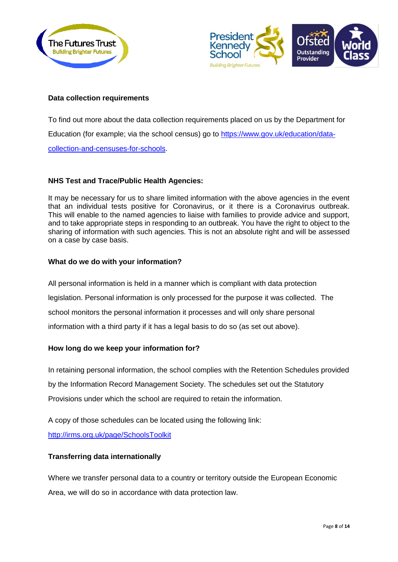



# **Data collection requirements**

To find out more about the data collection requirements placed on us by the Department for Education (for example; via the school census) go to [https://www.gov.uk/education/data](https://www.gov.uk/education/data-collection-and-censuses-for-schools)[collection-and-censuses-for-schools.](https://www.gov.uk/education/data-collection-and-censuses-for-schools)

## **NHS Test and Trace/Public Health Agencies:**

It may be necessary for us to share limited information with the above agencies in the event that an individual tests positive for Coronavirus, or it there is a Coronavirus outbreak. This will enable to the named agencies to liaise with families to provide advice and support, and to take appropriate steps in responding to an outbreak. You have the right to object to the sharing of information with such agencies. This is not an absolute right and will be assessed on a case by case basis.

## **What do we do with your information?**

All personal information is held in a manner which is compliant with data protection legislation. Personal information is only processed for the purpose it was collected. The school monitors the personal information it processes and will only share personal information with a third party if it has a legal basis to do so (as set out above).

## **How long do we keep your information for?**

In retaining personal information, the school complies with the Retention Schedules provided by the Information Record Management Society. The schedules set out the Statutory Provisions under which the school are required to retain the information.

A copy of those schedules can be located using the following link:

<http://irms.org.uk/page/SchoolsToolkit>

# **Transferring data internationally**

Where we transfer personal data to a country or territory outside the European Economic Area, we will do so in accordance with data protection law.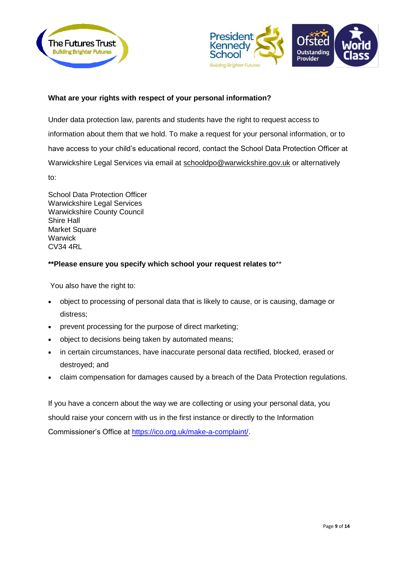



# **What are your rights with respect of your personal information?**

Under data protection law, parents and students have the right to request access to information about them that we hold. To make a request for your personal information, or to have access to your child's educational record, contact the School Data Protection Officer at Warwickshire Legal Services via email at [schooldpo@warwickshire.gov.uk](mailto:ailto:schooldpo@warwickshire.gov.uk) or alternatively to:

School Data Protection Officer Warwickshire Legal Services Warwickshire County Council Shire Hall Market Square **Warwick** CV34 4RL

## **\*\*Please ensure you specify which school your request relates to**\*\*

You also have the right to:

- object to processing of personal data that is likely to cause, or is causing, damage or distress;
- prevent processing for the purpose of direct marketing;
- object to decisions being taken by automated means;
- in certain circumstances, have inaccurate personal data rectified, blocked, erased or destroyed; and
- claim compensation for damages caused by a breach of the Data Protection regulations.

If you have a concern about the way we are collecting or using your personal data, you should raise your concern with us in the first instance or directly to the Information Commissioner's Office at [https://ico.org.uk/make-a-complaint/.](https://ico.org.uk/make-a-complaint/)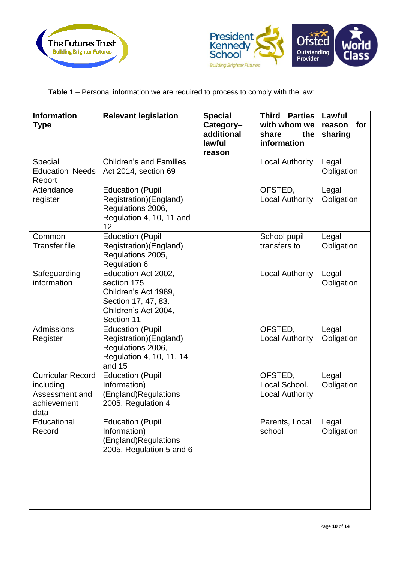



**Table 1** – Personal information we are required to process to comply with the law:

| <b>Information</b><br><b>Type</b>                                              | <b>Relevant legislation</b>                                                                                             | <b>Special</b><br>Category-<br>additional<br>lawful<br>reason | <b>Third Parties</b><br>with whom we<br>share<br>the<br>information | Lawful<br>for<br>reason<br>sharing |
|--------------------------------------------------------------------------------|-------------------------------------------------------------------------------------------------------------------------|---------------------------------------------------------------|---------------------------------------------------------------------|------------------------------------|
| Special<br><b>Education Needs</b><br>Report                                    | <b>Children's and Families</b><br>Act 2014, section 69                                                                  |                                                               | <b>Local Authority</b>                                              | Legal<br>Obligation                |
| Attendance<br>register                                                         | <b>Education (Pupil</b><br>Registration)(England)<br>Regulations 2006,<br>Regulation 4, 10, 11 and<br>12                |                                                               | OFSTED,<br><b>Local Authority</b>                                   | Legal<br>Obligation                |
| Common<br><b>Transfer file</b>                                                 | <b>Education (Pupil</b><br>Registration)(England)<br>Regulations 2005,<br><b>Regulation 6</b>                           |                                                               | School pupil<br>transfers to                                        | Legal<br>Obligation                |
| Safeguarding<br>information                                                    | Education Act 2002,<br>section 175<br>Children's Act 1989,<br>Section 17, 47, 83.<br>Children's Act 2004,<br>Section 11 |                                                               | <b>Local Authority</b>                                              | Legal<br>Obligation                |
| Admissions<br>Register                                                         | <b>Education (Pupil</b><br>Registration)(England)<br>Regulations 2006,<br>Regulation 4, 10, 11, 14<br>and 15            |                                                               | OFSTED,<br><b>Local Authority</b>                                   | Legal<br>Obligation                |
| <b>Curricular Record</b><br>including<br>Assessment and<br>achievement<br>data | <b>Education (Pupil</b><br>Information)<br>(England)Regulations<br>2005, Regulation 4                                   |                                                               | OFSTED,<br>Local School.<br><b>Local Authority</b>                  | Legal<br>Obligation                |
| Educational<br>Record                                                          | <b>Education (Pupil</b><br>Information)<br>(England)Regulations<br>2005, Regulation 5 and 6                             |                                                               | Parents, Local<br>school                                            | Legal<br>Obligation                |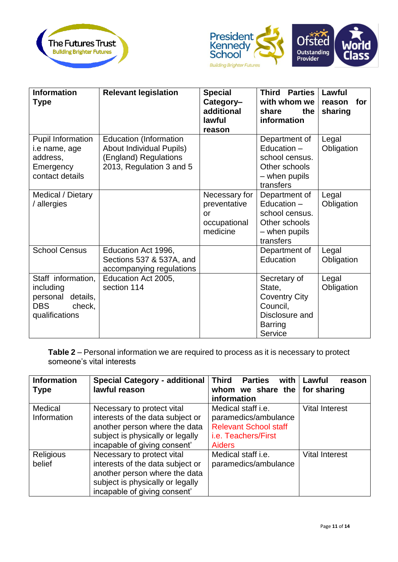



| <b>Information</b><br><b>Type</b>                                                           | <b>Relevant legislation</b>                                                                                           | <b>Special</b><br>Category-<br>additional<br>lawful<br>reason          | <b>Third Parties</b><br>with whom we<br>the<br>share<br>information                                       | Lawful<br>for<br>reason<br>sharing |
|---------------------------------------------------------------------------------------------|-----------------------------------------------------------------------------------------------------------------------|------------------------------------------------------------------------|-----------------------------------------------------------------------------------------------------------|------------------------------------|
| <b>Pupil Information</b><br>i.e name, age<br>address,<br>Emergency<br>contact details       | <b>Education (Information</b><br><b>About Individual Pupils)</b><br>(England) Regulations<br>2013, Regulation 3 and 5 |                                                                        | Department of<br>Education $-$<br>school census.<br>Other schools<br>- when pupils<br>transfers           | Legal<br>Obligation                |
| Medical / Dietary<br>/ allergies                                                            |                                                                                                                       | Necessary for<br>preventative<br><b>or</b><br>occupational<br>medicine | Department of<br>Education $-$<br>school census.<br>Other schools<br>- when pupils<br>transfers           | Legal<br>Obligation                |
| <b>School Census</b>                                                                        | Education Act 1996,<br>Sections 537 & 537A, and<br>accompanying regulations                                           |                                                                        | Department of<br>Education                                                                                | Legal<br>Obligation                |
| Staff information,<br>including<br>details,<br>personal<br>check,<br>DBS.<br>qualifications | Education Act 2005,<br>section 114                                                                                    |                                                                        | Secretary of<br>State,<br><b>Coventry City</b><br>Council,<br>Disclosure and<br><b>Barring</b><br>Service | Legal<br>Obligation                |

**Table 2** – Personal information we are required to process as it is necessary to protect someone's vital interests

| <b>Information</b><br><b>Type</b> | <b>Special Category - additional</b><br>lawful reason                                                                                                               | <b>Third</b><br><b>Parties</b><br>with<br>whom we share the for sharing<br>information                                    | Lawful<br>reason      |
|-----------------------------------|---------------------------------------------------------------------------------------------------------------------------------------------------------------------|---------------------------------------------------------------------------------------------------------------------------|-----------------------|
| Medical<br>Information            | Necessary to protect vital<br>interests of the data subject or<br>another person where the data<br>subject is physically or legally<br>incapable of giving consent' | Medical staff i.e.<br>paramedics/ambulance<br><b>Relevant School staff</b><br><i>i.e.</i> Teachers/First<br><b>Aiders</b> | <b>Vital Interest</b> |
| Religious<br>belief               | Necessary to protect vital<br>interests of the data subject or<br>another person where the data<br>subject is physically or legally<br>incapable of giving consent' | Medical staff i.e.<br>paramedics/ambulance                                                                                | <b>Vital Interest</b> |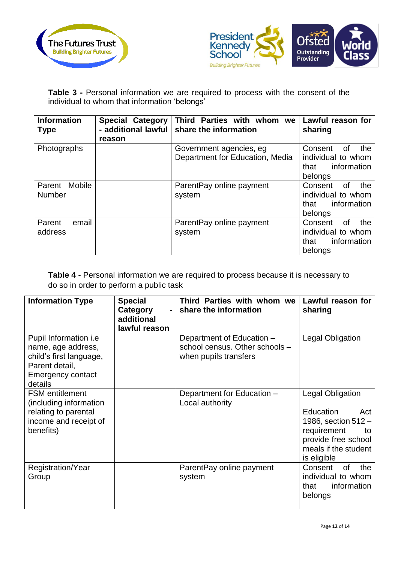



**Table 3 -** Personal information we are required to process with the consent of the individual to whom that information 'belongs'

| <b>Information</b><br><b>Type</b>        | <b>Special Category</b><br>- additional lawful<br>reason | Third Parties with whom we<br>share the information        | Lawful reason for<br>sharing                                                 |
|------------------------------------------|----------------------------------------------------------|------------------------------------------------------------|------------------------------------------------------------------------------|
| Photographs                              |                                                          | Government agencies, eg<br>Department for Education, Media | Consent<br>the<br>οf<br>individual to whom<br>information<br>that<br>belongs |
| <b>Mobile</b><br>Parent<br><b>Number</b> |                                                          | Parent Pay online payment<br>system                        | Consent<br>0f<br>the<br>individual to whom<br>information<br>that<br>belongs |
| email<br>Parent<br>address               |                                                          | ParentPay online payment<br>system                         | the<br>Consent<br>0f<br>individual to whom<br>information<br>that<br>belongs |

**Table 4 -** Personal information we are required to process because it is necessary to do so in order to perform a public task

| <b>Information Type</b>                                                                                                                | <b>Special</b><br>Category<br>additional<br>lawful reason | Third Parties with whom we<br>share the information                                  | Lawful reason for<br>sharing                                                                                                                            |
|----------------------------------------------------------------------------------------------------------------------------------------|-----------------------------------------------------------|--------------------------------------------------------------------------------------|---------------------------------------------------------------------------------------------------------------------------------------------------------|
| Pupil Information <i>i.e</i><br>name, age address,<br>child's first language,<br>Parent detail,<br><b>Emergency contact</b><br>details |                                                           | Department of Education -<br>school census. Other schools -<br>when pupils transfers | <b>Legal Obligation</b>                                                                                                                                 |
| <b>FSM</b> entitlement<br>(including information<br>relating to parental<br>income and receipt of<br>benefits)                         |                                                           | Department for Education -<br>Local authority                                        | Legal Obligation<br><b>Education</b><br>Act<br>1986, section $512 -$<br>requirement<br>to<br>provide free school<br>meals if the student<br>is eligible |
| Registration/Year<br>Group                                                                                                             |                                                           | Parent Pay online payment<br>system                                                  | of<br>the<br>Consent<br>individual to whom<br>information<br>that<br>belongs                                                                            |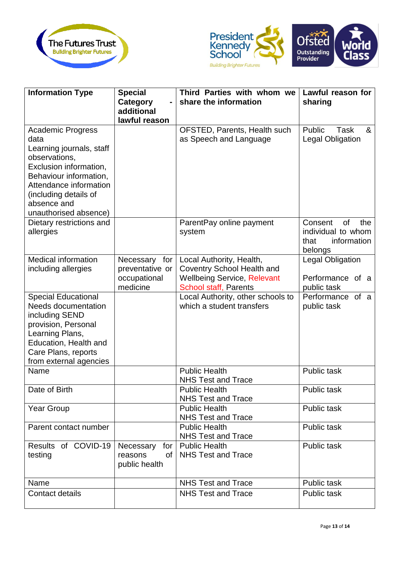



| <b>Information Type</b>                                  | <b>Special</b>   | Third Parties with whom we                                     | Lawful reason for          |
|----------------------------------------------------------|------------------|----------------------------------------------------------------|----------------------------|
|                                                          | Category         | share the information                                          | sharing                    |
|                                                          | additional       |                                                                |                            |
|                                                          | lawful reason    |                                                                |                            |
| <b>Academic Progress</b>                                 |                  | OFSTED, Parents, Health such                                   | Public<br><b>Task</b><br>& |
| data                                                     |                  | as Speech and Language                                         | <b>Legal Obligation</b>    |
| Learning journals, staff                                 |                  |                                                                |                            |
| observations,                                            |                  |                                                                |                            |
| Exclusion information,                                   |                  |                                                                |                            |
| Behaviour information,                                   |                  |                                                                |                            |
| Attendance information                                   |                  |                                                                |                            |
| (including details of                                    |                  |                                                                |                            |
| absence and                                              |                  |                                                                |                            |
| unauthorised absence)                                    |                  |                                                                |                            |
| Dietary restrictions and                                 |                  | ParentPay online payment                                       | Consent<br>0f<br>the       |
| allergies                                                |                  | system                                                         | individual to whom         |
|                                                          |                  |                                                                | information<br>that        |
|                                                          |                  |                                                                | belongs                    |
| <b>Medical information</b>                               | Necessary for    | Local Authority, Health,                                       | <b>Legal Obligation</b>    |
| including allergies                                      | preventative or  | <b>Coventry School Health and</b>                              |                            |
|                                                          | occupational     | <b>Wellbeing Service, Relevant</b>                             | Performance of a           |
|                                                          | medicine         | <b>School staff, Parents</b>                                   | public task                |
| <b>Special Educational</b><br><b>Needs documentation</b> |                  | Local Authority, other schools to<br>which a student transfers | Performance of a           |
| including SEND                                           |                  |                                                                | public task                |
| provision, Personal                                      |                  |                                                                |                            |
| Learning Plans,                                          |                  |                                                                |                            |
| Education, Health and                                    |                  |                                                                |                            |
| Care Plans, reports                                      |                  |                                                                |                            |
| from external agencies                                   |                  |                                                                |                            |
| Name                                                     |                  | <b>Public Health</b>                                           | <b>Public task</b>         |
|                                                          |                  | <b>NHS Test and Trace</b>                                      |                            |
| Date of Birth                                            |                  | <b>Public Health</b>                                           | Public task                |
|                                                          |                  | <b>NHS Test and Trace</b>                                      |                            |
| <b>Year Group</b>                                        |                  | <b>Public Health</b>                                           | <b>Public task</b>         |
|                                                          |                  | <b>NHS Test and Trace</b>                                      |                            |
| Parent contact number                                    |                  | <b>Public Health</b>                                           | <b>Public task</b>         |
|                                                          |                  | <b>NHS Test and Trace</b>                                      |                            |
| Results of COVID-19                                      | for<br>Necessary | <b>Public Health</b>                                           | <b>Public task</b>         |
| testing                                                  | reasons<br>of    | <b>NHS Test and Trace</b>                                      |                            |
|                                                          | public health    |                                                                |                            |
|                                                          |                  |                                                                |                            |
| Name                                                     |                  | <b>NHS Test and Trace</b>                                      | Public task                |
| Contact details                                          |                  | <b>NHS Test and Trace</b>                                      | Public task                |
|                                                          |                  |                                                                |                            |